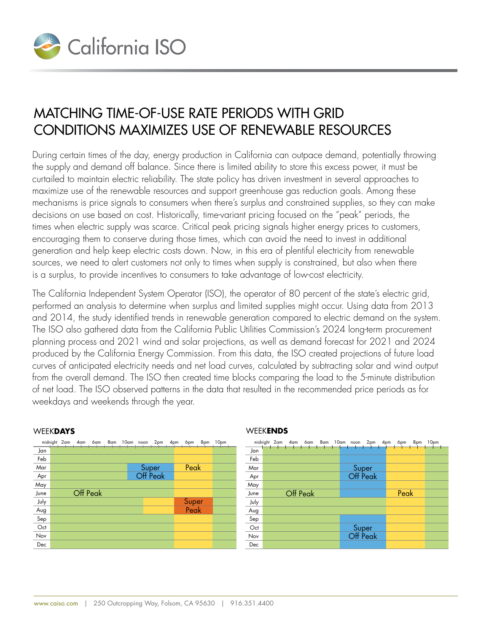

## Matching time-of-use rate periods with Grid Conditions maximizes use of renewable resources

During certain times of the day, energy production in California can outpace demand, potentially throwing the supply and demand off balance. Since there is limited ability to store this excess power, it must be curtailed to maintain electric reliability. The state policy has driven investment in several approaches to maximize use of the renewable resources and support greenhouse gas reduction goals. Among these mechanisms is price signals to consumers when there's surplus and constrained supplies, so they can make decisions on use based on cost. Historically, time-variant pricing focused on the "peak" periods, the times when electric supply was scarce. Critical peak pricing signals higher energy prices to customers, encouraging them to conserve during those times, which can avoid the need to invest in additional generation and help keep electric costs down. Now, in this era of plentiful electricity from renewable sources, we need to alert customers not only to times when supply is constrained, but also when there is a surplus, to provide incentives to consumers to take advantage of low-cost electricity.

The California Independent System Operator (ISO), the operator of 80 percent of the state's electric grid, performed an analysis to determine when surplus and limited supplies might occur. Using data from 2013 and 2014, the study identified trends in renewable generation compared to electric demand on the system. Jan The ISO also gathered data from the California Public Utilities Commission's 2024 long-term procurement planning process and 2021 wind and solar projections, as well as demand forecast for 2021 and 2024 Mar produced by the California Energy Commission. From this data, the ISO created projections of future load May curves of anticipated electricity needs and net load curves, calculated by subtracting solar and wind output From the overall demand. The ISO then created time blocks comparing the load to the 5-minute distribution of net load. The ISO observed patterns in the data that resulted in the recommended price periods as for weekdays and weekends through the year. au KS midnight 2am 4am 6am 8am 10am noon 2pm 4pm 6pm 8pm 10pm  $\overline{f}_{\alpha r}$  $\frac{1}{2}$ Super listrik Peak

|      | midnight 2am 4am 6am 8am 10am noon 2pm 4pm |          |  |  |                   | 6pm   | 8pm | 10pm |
|------|--------------------------------------------|----------|--|--|-------------------|-------|-----|------|
| Jan  |                                            |          |  |  |                   |       |     |      |
| Feb  |                                            |          |  |  |                   |       |     |      |
| Mar  |                                            |          |  |  |                   | Peak  |     |      |
| Apr  |                                            |          |  |  | Super<br>Off Peak |       |     |      |
| May  |                                            |          |  |  |                   |       |     |      |
| June |                                            | Off Peak |  |  |                   |       |     |      |
| July |                                            |          |  |  |                   | Super |     |      |
| Aug  |                                            |          |  |  |                   | Peak  |     |      |
| Sep  |                                            |          |  |  |                   |       |     |      |
| Oct  |                                            |          |  |  |                   |       |     |      |
| Nov  |                                            |          |  |  |                   |       |     |      |
| Dec  |                                            |          |  |  |                   |       |     |      |

## WEEK**DAYS**

## WEEK**ENDS**

|      |  |          |  |  |                   | midnight 2am 4am 6am 8am 10am noon 2pm 4pm 6pm 8pm | 10pm |  |
|------|--|----------|--|--|-------------------|----------------------------------------------------|------|--|
| Jan  |  |          |  |  |                   |                                                    |      |  |
| Feb  |  |          |  |  |                   |                                                    |      |  |
| Mar  |  |          |  |  |                   |                                                    |      |  |
| Apr  |  |          |  |  | Super<br>Off Peak |                                                    |      |  |
| May  |  |          |  |  |                   |                                                    |      |  |
| June |  | Off Peak |  |  |                   | Peak                                               |      |  |
| July |  |          |  |  |                   |                                                    |      |  |
| Aug  |  |          |  |  |                   |                                                    |      |  |
| Sep  |  |          |  |  |                   |                                                    |      |  |
| Oct  |  |          |  |  |                   |                                                    |      |  |
| Nov  |  |          |  |  | Super<br>Off Peak |                                                    |      |  |
| Dec  |  |          |  |  |                   |                                                    |      |  |